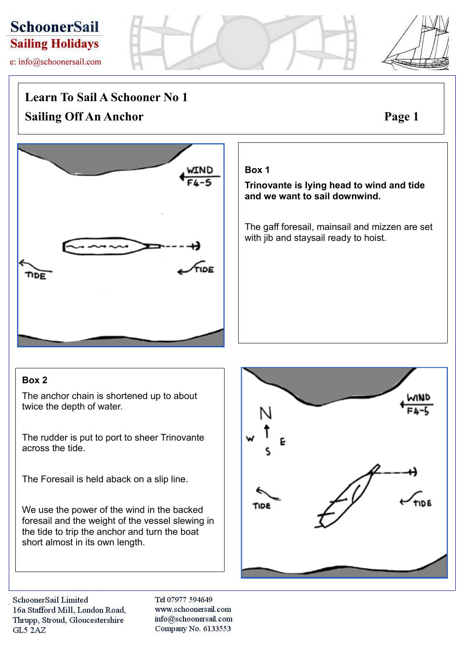# **SchoonerSail Sailing Holidays**

e: info@schoonersail.com

## **Learn To Sail A Schooner No 1**

**Sailing Off An Anchor Page 1**



## **Box 1**

**Trinovante is lying head to wind and tide and we want to sail downwind.**

The gaff foresail, mainsail and mizzen are set with jib and staysail ready to hoist.

## **Box 2**

The anchor chain is shortened up to about twice the depth of water.

The rudder is put to port to sheer Trinovante across the tide.

The Foresail is held aback on a slip line.

We use the power of the wind in the backed foresail and the weight of the vessel slewing in the tide to trip the anchor and turn the boat short almost in its own length.



SchoonerSail Limited 16a Stafford Mill, London Road, Thrupp, Stroud, Gloucestershire GL5 2AZ

Tel 07977 594649 www.schoonersail.com info@schoonersail.com Company No. 6133553